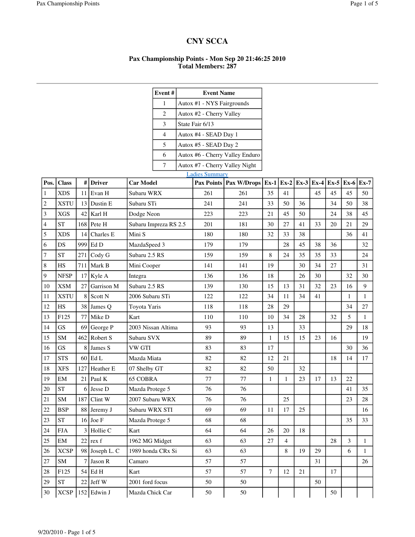## **CNY SCCA**

## **Pax Championship Points - Mon Sep 20 21:46:25 2010 Total Members: 287**

|                |              |     |                    |                       | Event#                        |  | <b>Event Name</b>          |                                 |                |        |    |    |    |                                                             |              |
|----------------|--------------|-----|--------------------|-----------------------|-------------------------------|--|----------------------------|---------------------------------|----------------|--------|----|----|----|-------------------------------------------------------------|--------------|
|                |              |     |                    |                       | $\mathbf{1}$                  |  | Autox #1 - NYS Fairgrounds |                                 |                |        |    |    |    |                                                             |              |
|                |              |     |                    |                       | 2<br>Autox #2 - Cherry Valley |  |                            |                                 |                |        |    |    |    |                                                             |              |
|                |              |     |                    |                       | 3                             |  | State Fair 6/13            |                                 |                |        |    |    |    |                                                             |              |
|                |              |     |                    |                       | $\overline{4}$                |  | Autox #4 - SEAD Day 1      |                                 |                |        |    |    |    |                                                             |              |
|                |              |     |                    |                       | 5                             |  | Autox #5 - SEAD Day 2      |                                 |                |        |    |    |    |                                                             |              |
|                |              |     |                    |                       | 6                             |  |                            | Autox #6 - Cherry Valley Enduro |                |        |    |    |    |                                                             |              |
|                |              |     |                    |                       | $\overline{7}$                |  |                            | Autox #7 - Cherry Valley Night  |                |        |    |    |    |                                                             |              |
|                |              |     |                    |                       |                               |  | <b>Ladies Summary</b>      |                                 |                |        |    |    |    |                                                             |              |
| Pos.           | <b>Class</b> | #   | <b>Driver</b>      | <b>Car Model</b>      |                               |  |                            | Pax Points   Pax W/Drops        | $Ex-1$         | $Ex-2$ |    |    |    | $\vert$ Ex-3 $\vert$ Ex-4 $\vert$ Ex-5 $\vert$ Ex-6 $\vert$ | <b>Ex-7</b>  |
| 1              | <b>XDS</b>   | 11  | Evan H             | Subaru WRX            |                               |  | 261                        | 261                             | 35             | 41     |    | 45 | 45 | 45                                                          | 50           |
| 2              | <b>XSTU</b>  | 13  | Dustin E           | Subaru STi            |                               |  | 241                        | 241                             | 33             | 50     | 36 |    | 34 | 50                                                          | 38           |
| 3              | <b>XGS</b>   | 42  | Karl H             | Dodge Neon            |                               |  | 223                        | 223                             | 21             | 45     | 50 |    | 24 | 38                                                          | 45           |
| $\overline{4}$ | <b>ST</b>    | 168 | Pete H             | Subaru Impreza RS 2.5 |                               |  | 201                        | 181                             | 30             | 27     | 41 | 33 | 20 | 21                                                          | 29           |
| 5              | <b>XDS</b>   | 14  | Charles E          | Mini S                |                               |  | 180                        | 180                             | 32             | 33     | 38 |    |    | 36                                                          | 41           |
| 6              | DS           | 999 | Ed D               | MazdaSpeed 3          |                               |  | 179                        | 179                             |                | 28     | 45 | 38 | 36 |                                                             | 32           |
| 7              | <b>ST</b>    | 271 | Cody G             | Subaru 2.5 RS         |                               |  | 159                        | 159                             | 8              | 24     | 35 | 35 | 33 |                                                             | 24           |
| 8              | HS           | 711 | Mark B             | Mini Cooper           |                               |  | 141                        | 141                             | 19             |        | 30 | 34 | 27 |                                                             | 31           |
| 9              | <b>NFSP</b>  | 17  | Kyle A             | Integra               |                               |  | 136                        | 136                             | 18             |        | 26 | 30 |    | 32                                                          | 30           |
| 10             | <b>XSM</b>   | 27  | Garrison M         | Subaru 2.5 RS         |                               |  | 139                        | 130                             | 15             | 13     | 31 | 32 | 23 | 16                                                          | 9            |
| 11             | <b>XSTU</b>  | 8   | Scott N            | 2006 Subaru STi       |                               |  | 122                        | 122                             | 34             | 11     | 34 | 41 |    | $\mathbf{1}$                                                | $\mathbf{1}$ |
| 12             | HS           | 38  | James Q            | Toyota Yaris          |                               |  | 118                        | 118                             | 28             | 29     |    |    |    | 34                                                          | 27           |
| 13             | F125         | 77  | Mike D             | Kart                  |                               |  | 110                        | 110                             | 10             | 34     | 28 |    | 32 | 5                                                           | 1            |
| 14             | GS           | 69  | George P           | 2003 Nissan Altima    |                               |  | 93                         | 93                              | 13             |        | 33 |    |    | 29                                                          | 18           |
| 15             | ${\bf SM}$   | 462 | Robert S           | Subaru SVX            |                               |  | 89                         | 89                              | $\mathbf{1}$   | 15     | 15 | 23 | 16 |                                                             | 19           |
| 16             | GS           | 8   | James S            | <b>VW GTI</b>         |                               |  | 83                         | 83                              | 17             |        |    |    |    | 30                                                          | 36           |
| 17             | <b>STS</b>   | 60  | Ed L               | Mazda Miata           |                               |  | 82                         | 82                              | 12             | 21     |    |    | 18 | 14                                                          | 17           |
| 18             | <b>XFS</b>   | 127 | Heather E          | 07 Shelby GT          |                               |  | 82                         | 82                              | 50             |        | 32 |    |    |                                                             |              |
| 19             | EM           | 21  | Paul K             | <b>65 COBRA</b>       |                               |  | 77                         | 77                              | $\mathbf{1}$   | 1      | 23 | 17 | 13 | 22                                                          |              |
| $20\,$         | <b>ST</b>    |     | $6$ Jesse D        | Mazda Protege 5       |                               |  | 76                         | 76                              |                |        |    |    |    | 41                                                          | 35           |
| 21             | <b>SM</b>    |     | $187$ Clint W      | 2007 Subaru WRX       |                               |  | 76                         | 76                              |                | 25     |    |    |    | 23                                                          | 28           |
| $22\,$         | <b>BSP</b>   |     | 88 Jeremy J        | Subaru WRX STI        |                               |  | 69                         | 69                              | 11             | 17     | 25 |    |    |                                                             | 16           |
| 23             | <b>ST</b>    |     | $16$ Joe F         | Mazda Protege 5       |                               |  | 68                         | 68                              |                |        |    |    |    | 35                                                          | 33           |
| $24\,$         | ${\rm FJA}$  | 3   | Hollie C           | Kart                  |                               |  | 64                         | 64                              | 26             | 20     | 18 |    |    |                                                             |              |
| $25\,$         | EM           | 22  | rex f              | 1962 MG Midget        |                               |  | 63                         | 63                              | 27             | 4      |    |    | 28 | 3                                                           | $\mathbf{1}$ |
| 26             | <b>XCSP</b>  |     | 98 Joseph L. C     | 1989 honda CRx Si     |                               |  | 63                         | 63                              |                | 8      | 19 | 29 |    | 6                                                           | $\mathbf{1}$ |
| 27             | SM           |     | Jason R            | Camaro                |                               |  | 57                         | 57                              |                |        |    | 31 |    |                                                             | 26           |
| $28\,$         | F125         | 54  | Ed H               | Kart                  |                               |  | 57                         | 57                              | $\overline{7}$ | 12     | 21 |    | 17 |                                                             |              |
| 29             | <b>ST</b>    | 22  | Jeff W             | 2001 ford focus       |                               |  | 50                         | 50                              |                |        |    | 50 |    |                                                             |              |
| 30             |              |     | $XCSP$ 152 Edwin J | Mazda Chick Car       |                               |  | 50                         | 50                              |                |        |    |    | 50 |                                                             |              |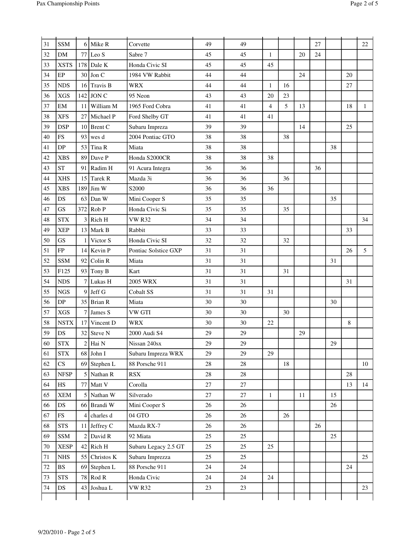| 31     | <b>SSM</b>             | 6              | Mike R            | Corvette             | 49     | 49     |              |        |    | 27 |    |    | 22           |
|--------|------------------------|----------------|-------------------|----------------------|--------|--------|--------------|--------|----|----|----|----|--------------|
| 32     | DM                     | 77             | Leo S             | Sabre 7              | 45     | 45     | $\mathbf{1}$ |        | 20 | 24 |    |    |              |
| 33     | <b>XSTS</b>            | 178            | Dale K            | Honda Civic SI       | 45     | 45     | 45           |        |    |    |    |    |              |
| 34     | EP                     | 30             | Jon C             | 1984 VW Rabbit       | 44     | 44     |              |        | 24 |    |    | 20 |              |
| 35     | <b>NDS</b>             | 16             | Travis B          | <b>WRX</b>           | 44     | 44     | 1            | 16     |    |    |    | 27 |              |
| 36     | <b>XGS</b>             | 142            | JON C             | 95 Neon              | 43     | 43     | 20           | 23     |    |    |    |    |              |
| 37     | EM                     | 11             | William M         | 1965 Ford Cobra      | 41     | 41     | 4            | 5      | 13 |    |    | 18 | $\mathbf{1}$ |
| 38     | <b>XFS</b>             | 27             | Michael P         | Ford Shelby GT       | 41     | 41     | 41           |        |    |    |    |    |              |
| 39     | <b>DSP</b>             | 10             | <b>Brent C</b>    | Subaru Impreza       | 39     | 39     |              |        | 14 |    |    | 25 |              |
| 40     | <b>FS</b>              | 93             | wes d             | 2004 Pontiac GTO     | 38     | 38     |              | 38     |    |    |    |    |              |
| 41     | DP                     | 53             | Tina R            | Miata                | 38     | 38     |              |        |    |    | 38 |    |              |
| 42     | <b>XBS</b>             | 89             | Dave P            | Honda S2000CR        | 38     | 38     | 38           |        |    |    |    |    |              |
| 43     | <b>ST</b>              | 91             | Radim H           | 91 Acura Integra     | 36     | 36     |              |        |    | 36 |    |    |              |
| 44     | <b>XHS</b>             | 15             | Tarek R           | Mazda 3i             | 36     | 36     |              | 36     |    |    |    |    |              |
| 45     | <b>XBS</b>             | 189            | Jim W             | S2000                | 36     | 36     | 36           |        |    |    |    |    |              |
| 46     | DS                     | 63             | Dan W             | Mini Cooper S        | 35     | 35     |              |        |    |    | 35 |    |              |
| 47     | GS                     | 372            | Rob P             | Honda Civic Si       | 35     | 35     |              | 35     |    |    |    |    |              |
| 48     | <b>STX</b>             | 3              | Rich H            | <b>VW R32</b>        | 34     | 34     |              |        |    |    |    |    | 34           |
| 49     | <b>XEP</b>             | 13             | Mark B            | Rabbit               | 33     | 33     |              |        |    |    |    | 33 |              |
| 50     | GS                     |                | Victor S          | Honda Civic SI       | 32     | 32     |              | 32     |    |    |    |    |              |
| 51     | ${\rm FP}$             | 14             | Kevin P           | Pontiac Solstice GXP | 31     | 31     |              |        |    |    |    | 26 | 5            |
| 52     | <b>SSM</b>             | 92             | Colin R           | Miata                | 31     | 31     |              |        |    |    | 31 |    |              |
| 53     | F125                   | 93             | Tony B            | Kart                 | 31     | 31     |              | 31     |    |    |    |    |              |
| 54     | <b>NDS</b>             |                | Lukas H           | <b>2005 WRX</b>      | 31     | 31     |              |        |    |    |    | 31 |              |
| 55     | <b>NGS</b>             | 9              | Jeff G            | Cobalt SS            | 31     | 31     | 31           |        |    |    |    |    |              |
| 56     | DP                     | 35             | <b>Brian R</b>    | Miata                | 30     | 30     |              |        |    |    | 30 |    |              |
| 57     | <b>XGS</b>             | 7              | James S           | VW GTI               | 30     | 30     |              | 30     |    |    |    |    |              |
| 58     | <b>NSTX</b>            | 17             | Vincent D         | <b>WRX</b>           | 30     | 30     | 22           |        |    |    |    | 8  |              |
| 59     | DS                     |                | 32 Steve N        | 2000 Audi S4         | 29     | 29     |              |        | 29 |    |    |    |              |
| 60     | $\operatorname{STX}$   | $\overline{2}$ | Hai N             | Nissan 240sx         | 29     | 29     |              |        |    |    | 29 |    |              |
| 61     | $\operatorname{STX}$   | 68             | John I            | Subaru Impreza WRX   | 29     | $29\,$ | 29           |        |    |    |    |    |              |
| 62     | $\mathbf{C}\mathbf{S}$ | 69             | Stephen L         | 88 Porsche 911       | $28\,$ | $28\,$ |              | $18\,$ |    |    |    |    | 10           |
| 63     | <b>NFSP</b>            | 5              | Nathan R          | RSX                  | 28     | $28\,$ |              |        |    |    |    | 28 |              |
| 64     | $_{\rm HS}$            | 77             | Matt <sub>V</sub> | Corolla              | $27\,$ | $27\,$ |              |        |    |    |    | 13 | 14           |
| 65     | <b>XEM</b>             |                | Nathan W          | Silverado            | $27\,$ | $27\,$ | $\mathbf{1}$ |        | 11 |    | 15 |    |              |
| 66     | DS                     |                | 66 Brandi W       | Mini Cooper S        | 26     | 26     |              |        |    |    | 26 |    |              |
| 67     | FS                     | 4              | charles d         | $04\,\mathrm{GTO}$   | 26     | 26     |              | 26     |    |    |    |    |              |
| 68     | <b>STS</b>             | 11             | Jeffrey C         | Mazda RX-7           | 26     | 26     |              |        |    | 26 |    |    |              |
| 69     | SSM                    |                | David R           | 92 Miata             | 25     | 25     |              |        |    |    | 25 |    |              |
| $70\,$ | <b>XESP</b>            | 42             | Rich H            | Subaru Legacy 2.5 GT | 25     | 25     | 25           |        |    |    |    |    |              |
| $71\,$ | <b>NHS</b>             | 55             | Christos K        | Subaru Imprezza      | 25     | 25     |              |        |    |    |    |    | 25           |
| $72\,$ | <b>BS</b>              | 69             | Stephen L         | 88 Porsche 911       | 24     | 24     |              |        |    |    |    | 24 |              |
| 73     | <b>STS</b>             | 78             | Rod R             | Honda Civic          | 24     | $24\,$ | 24           |        |    |    |    |    |              |
| 74     | DS                     | 43             | Joshua L          | <b>VW R32</b>        | 23     | $23\,$ |              |        |    |    |    |    | 23           |
|        |                        |                |                   |                      |        |        |              |        |    |    |    |    |              |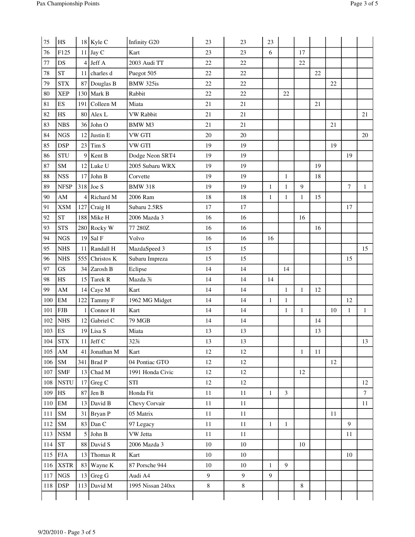| 75  | HS                     |     | $18$ Kyle C   | Infinity G20      | 23     | 23     | 23           |              |              |    |    |              |                 |
|-----|------------------------|-----|---------------|-------------------|--------|--------|--------------|--------------|--------------|----|----|--------------|-----------------|
| 76  | F125                   | 11  | $\int$ Jay C  | Kart              | 23     | 23     | 6            |              | 17           |    |    |              |                 |
| 77  | DS                     | 4   | Jeff A        | 2003 Audi TT      | 22     | 22     |              |              | 22           |    |    |              |                 |
| 78  | <b>ST</b>              |     | 11 charles d  | Puegot 505        | 22     | 22     |              |              |              | 22 |    |              |                 |
| 79  | <b>STX</b>             | 87  | Douglas B     | BMW 325is         | 22     | 22     |              |              |              |    | 22 |              |                 |
| 80  | <b>XEP</b>             |     | $130$ Mark B  | Rabbit            | 22     | 22     |              | 22           |              |    |    |              |                 |
| 81  | ES                     | 191 | Colleen M     | Miata             | $21\,$ | 21     |              |              |              | 21 |    |              |                 |
| 82  | HS                     |     | $80$ Alex L   | <b>VW Rabbit</b>  | 21     | 21     |              |              |              |    |    |              | 21              |
| 83  | <b>NBS</b>             |     | $36$ John O   | BMW M3            | 21     | 21     |              |              |              |    | 21 |              |                 |
| 84  | <b>NGS</b>             | 12  | Justin E      | <b>VW GTI</b>     | 20     | 20     |              |              |              |    |    |              | 20              |
| 85  | <b>DSP</b>             |     | $23$ Tim S    | <b>VW GTI</b>     | 19     | 19     |              |              |              |    | 19 |              |                 |
| 86  | <b>STU</b>             | 9   | Kent B        | Dodge Neon SRT4   | 19     | 19     |              |              |              |    |    | 19           |                 |
| 87  | SM                     | 12  | Luke U        | 2005 Subaru WRX   | 19     | 19     |              |              |              | 19 |    |              |                 |
| 88  | <b>NSS</b>             | 17  | John B        | Corvette          | 19     | 19     |              | $\mathbf{1}$ |              | 18 |    |              |                 |
| 89  | <b>NFSP</b>            |     | $318$ Joe S   | <b>BMW 318</b>    | 19     | 19     | $\mathbf{1}$ | $\mathbf{1}$ | $\mathbf{Q}$ |    |    | 7            | 1               |
| 90  | $\mathbf{A}\mathbf{M}$ | 4   | Richard M     | 2006 Ram          | $18\,$ | 18     | $\mathbf{1}$ | $\mathbf{1}$ | $\mathbf{1}$ | 15 |    |              |                 |
| 91  | <b>XSM</b>             | 127 | Craig H       | Subaru 2.5RS      | 17     | 17     |              |              |              |    |    | 17           |                 |
| 92  | <b>ST</b>              |     | $188$ Mike H  | 2006 Mazda 3      | 16     | 16     |              |              | 16           |    |    |              |                 |
| 93  | <b>STS</b>             |     | 280 Rocky W   | 77 280Z           | 16     | 16     |              |              |              | 16 |    |              |                 |
| 94  | <b>NGS</b>             | 19  | Sal F         | Volvo             | 16     | 16     | 16           |              |              |    |    |              |                 |
| 95  | <b>NHS</b>             | 11  | Randall H     | MazdaSpeed 3      | 15     | 15     |              |              |              |    |    |              | 15              |
| 96  | <b>NHS</b>             | 555 | Christos K    | Subaru Impreza    | 15     | 15     |              |              |              |    |    | 15           |                 |
| 97  | GS                     | 34  | Zarosh B      | Eclipse           | 14     | 14     |              | 14           |              |    |    |              |                 |
| 98  | HS                     | 15  | Tarek R       | Mazda 3i          | 14     | 14     | 14           |              |              |    |    |              |                 |
| 99  | AM                     | 14  | Caye M        | Kart              | 14     | 14     |              | $\mathbf{1}$ | $\mathbf{1}$ | 12 |    |              |                 |
| 100 | $\mathbf{EM}$          | 122 | Tammy F       | 1962 MG Midget    | 14     | 14     | $\mathbf{1}$ | $\mathbf{1}$ |              |    |    | 12           |                 |
| 101 | ${\rm FJB}$            |     | Connor H      | Kart              | 14     | 14     |              | $\mathbf{1}$ | $\mathbf{1}$ |    | 10 | $\mathbf{1}$ | $\mathbf{1}$    |
| 102 | <b>NHS</b>             | 12  | Gabriel C     | 79 MGB            | 14     | 14     |              |              |              | 14 |    |              |                 |
| 103 | ES                     |     | $19$ Lisa S   | Miata             | 13     | 13     |              |              |              | 13 |    |              |                 |
|     | $104$ STX              |     | $11$ Jeff C   | 323i              | 13     | 13     |              |              |              |    |    |              | 13              |
| 105 | AM                     | 41  | Jonathan M    | Kart              | 12     | 12     |              |              | $\mathbf{1}$ | 11 |    |              |                 |
|     | $106$ SM               |     | 341 $Brad P$  | 04 Pontiac GTO    | 12     | $12\,$ |              |              |              |    | 12 |              |                 |
| 107 | <b>SMF</b>             |     | $13$ Chad M   | 1991 Honda Civic  | 12     | 12     |              |              | 12           |    |    |              |                 |
| 108 | <b>NSTU</b>            | 17  | Greg C        | <b>STI</b>        | 12     | $12\,$ |              |              |              |    |    |              | 12              |
| 109 | H <sub>S</sub>         |     | $87$ Jen B    | Honda Fit         | $11\,$ | 11     | $\mathbf{1}$ | 3            |              |    |    |              | $7\overline{ }$ |
|     | $110$ EM               |     | $13$ David B  | Chevy Corvair     | $11\,$ | $11\,$ |              |              |              |    |    |              | 11              |
| 111 | <b>SM</b>              |     | 31 Bryan P    | 05 Matrix         | $11\,$ | $11\,$ |              |              |              |    | 11 |              |                 |
| 112 | <b>SM</b>              |     | $83$ Dan C    | 97 Legacy         | $11\,$ | $11\,$ | $\mathbf{1}$ | $\mathbf{1}$ |              |    |    | 9            |                 |
|     | $113$ NSM              |     | $5$ John B    | VW Jetta          | 11     | $11\,$ |              |              |              |    |    | 11           |                 |
| 114 | ST                     |     | 88 David S    | 2006 Mazda 3      | $10\,$ | $10\,$ |              |              | 10           |    |    |              |                 |
|     | $115$ FJA              |     | 13 Thomas $R$ | Kart              | $10\,$ | $10\,$ |              |              |              |    |    | 10           |                 |
|     | $116$ XSTR             |     | 83 Wayne K    | 87 Porsche 944    | $10\,$ | $10\,$ | $\mathbf{1}$ | 9            |              |    |    |              |                 |
|     | $117$ NGS              |     | $13$ Greg G   | Audi A4           | 9      | 9      | 9            |              |              |    |    |              |                 |
| 118 | DSP                    | 113 | David M       | 1995 Nissan 240sx | $8\,$  | $8\,$  |              |              | 8            |    |    |              |                 |
|     |                        |     |               |                   |        |        |              |              |              |    |    |              |                 |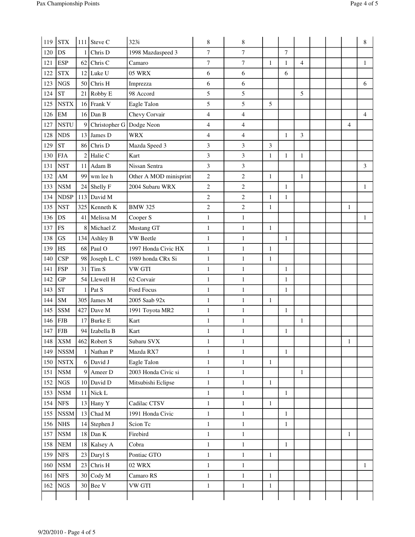| 119        | <b>STX</b>             |                | $111$ Steve C              | 323i                       | 8                            | 8                            |              |              |                |  |              | 8              |
|------------|------------------------|----------------|----------------------------|----------------------------|------------------------------|------------------------------|--------------|--------------|----------------|--|--------------|----------------|
| 120        | DS                     |                | $1$ Chris D                | 1998 Mazdaspeed 3          | 7                            | $\overline{7}$               |              | $\tau$       |                |  |              |                |
| 121        | <b>ESP</b>             |                | $62$ Chris C               | Camaro                     | $\overline{7}$               | $\tau$                       | $\mathbf{1}$ | $\mathbf{1}$ | $\overline{4}$ |  |              | $\mathbf{1}$   |
| 122        | $\operatorname{STX}$   |                | $12$ Luke U                | <b>05 WRX</b>              | 6                            | 6                            |              | 6            |                |  |              |                |
| 123        | <b>NGS</b>             |                | 50 Chris H                 | Imprezza                   | 6                            | 6                            |              |              |                |  |              | 6              |
| 124        | <b>ST</b>              | 21             | Robby E                    | 98 Accord                  | 5                            | 5                            |              |              | 5              |  |              |                |
| 125        | <b>NSTX</b>            |                | 16 Frank V                 | Eagle Talon                | 5                            | 5                            | 5            |              |                |  |              |                |
| 126        | EM                     |                | $16$ Dan B                 | Chevy Corvair              | $\overline{4}$               | $\overline{4}$               |              |              |                |  |              | $\overline{4}$ |
| 127        | <b>NSTU</b>            | 9 <sup>1</sup> | Christopher G Dodge Neon   |                            | $\overline{4}$               | $\overline{4}$               |              |              |                |  | 4            |                |
| 128        | <b>NDS</b>             |                | 13 James D                 | <b>WRX</b>                 | $\overline{4}$               | $\overline{4}$               |              | $\mathbf{1}$ | 3              |  |              |                |
| 129        | <b>ST</b>              |                | 86 Chris D                 | Mazda Speed 3              | 3                            | 3                            | 3            |              |                |  |              |                |
| 130        | <b>FJA</b>             |                | $2$ Halie C                | Kart                       | 3                            | 3                            | $\mathbf{1}$ | 1            | 1              |  |              |                |
| 131        | <b>NST</b>             |                | 11 Adam B                  | Nissan Sentra              | 3                            | 3                            |              |              |                |  |              | 3              |
| 132        | $\mathbf{A}\mathbf{M}$ |                | $99$ wm lee h              | Other A MOD minisprint     | $\mathbf{2}$                 | $\mathbf{2}$                 | $\mathbf{1}$ |              | 1              |  |              |                |
| 133        | $_{\rm NSM}$           |                | 24 Shelly F                | 2004 Subaru WRX            | $\boldsymbol{2}$             | $\overline{c}$               |              | $\mathbf{1}$ |                |  |              | $\mathbf{1}$   |
| 134        | <b>NDSP</b>            |                | 113 David M                |                            | $\mathbf{2}$                 | $\overline{c}$               | $\mathbf{1}$ | $\mathbf{1}$ |                |  |              |                |
| 135        | <b>NST</b>             |                | 325 Kenneth K              | <b>BMW 325</b>             | $\mathbf{2}$                 | $\mathbf{2}$                 | $\mathbf{1}$ |              |                |  | $\mathbf{1}$ |                |
| 136        | DS                     |                | 41 Melissa M               | Cooper S                   | $\mathbf{1}$                 | $\mathbf{1}$                 |              |              |                |  |              | $\mathbf{1}$   |
| 137        | <b>FS</b>              |                | 8 Michael Z                | Mustang GT                 | $\mathbf{1}$                 | $\mathbf{1}$                 | $\mathbf{1}$ |              |                |  |              |                |
| 138        | GS                     |                | $134$ Ashley B             | <b>VW</b> Beetle           | $\mathbf{1}$                 | $\mathbf{1}$                 |              | $\mathbf{1}$ |                |  |              |                |
| 139        | HS                     |                | $68$ Paul O                | 1997 Honda Civic HX        | $\mathbf{1}$                 | $\mathbf{1}$                 | 1            |              |                |  |              |                |
| 140        | <b>CSP</b>             |                | 98 Joseph L. C             | 1989 honda CRx Si          | $\mathbf{1}$                 | $\mathbf{1}$                 | $\mathbf{1}$ |              |                |  |              |                |
| 141        | <b>FSP</b>             | 31             | Tim <sub>S</sub>           | <b>VW GTI</b>              | $\mathbf{1}$                 | $\mathbf{1}$                 |              | 1            |                |  |              |                |
| 142        | <b>GP</b>              |                | 54 Llewell H               | 62 Corvair                 | $\mathbf{1}$                 | $\mathbf{1}$                 |              | $\mathbf{1}$ |                |  |              |                |
| 143        | <b>ST</b>              | 1              | Pat S                      | <b>Ford Focus</b>          | $\mathbf{1}$                 | $\mathbf{1}$                 |              | $\mathbf{1}$ |                |  |              |                |
| 144        | SM                     |                | $305$ James M              | 2005 Saab 92x              | $\mathbf{1}$                 | 1                            | $\mathbf{1}$ |              |                |  |              |                |
| 145        | <b>SSM</b>             | 427            | Dave M                     | 1991 Toyota MR2            | $\mathbf{1}$                 | $\mathbf{1}$                 |              | $\mathbf{1}$ |                |  |              |                |
| 146        | <b>FJB</b>             |                | $17$ Burke E               | Kart                       | $\mathbf{1}$                 | $\mathbf{1}$                 |              |              | $\mathbf{1}$   |  |              |                |
| 147        | <b>FJB</b>             |                | 94 Izabella B              | Kart                       | $\mathbf{1}$                 | $\mathbf{1}$                 |              | $\mathbf{1}$ |                |  |              |                |
| 148        | <b>XSM</b>             |                | $462$ Robert S             | Subaru SVX                 | $\,1\,$                      | $\mathbf{1}$                 |              |              |                |  | $\mathbf{1}$ |                |
| 149        | <b>NSSM</b>            |                | $1$ Nathan P               | Mazda RX7                  | $\,1$                        | $\mathbf{1}$                 |              | $\mathbf{1}$ |                |  |              |                |
| 150        | $\operatorname{NSTX}$  |                | $6$ David J                | Eagle Talon                | $\,1\,$                      | $\mathbf{1}$                 | $\mathbf{1}$ |              |                |  |              |                |
| 151        | $_{\rm NSM}$           |                | $9$ Ameer D                | 2003 Honda Civic si        | $\mathbf{1}$                 | $\mathbf{1}$                 |              |              | $\mathbf{1}$   |  |              |                |
| 152        | $_{\mathrm{NGS}}$      |                | $10$ David D               | Mitsubishi Eclipse         | $\,1\,$                      | $\mathbf{1}$                 | $\mathbf{1}$ |              |                |  |              |                |
| 153        | $_{\rm NSM}$           |                | 11 Nick L                  |                            | $\mathbf{1}$                 | $\mathbf{1}$                 |              | $\mathbf{1}$ |                |  |              |                |
| 154        | ${\rm NFS}$            |                | $13$ Hany Y                | Cadilac CTSV               | $\mathbf{1}$                 | $\mathbf{1}$                 | $\mathbf{1}$ |              |                |  |              |                |
| 155        | <b>NSSM</b>            |                | 13 Chad M                  | 1991 Honda Civic           | $\mathbf{1}$                 | $\mathbf{1}$                 |              | $\mathbf{1}$ |                |  |              |                |
|            | $156$ NHS              |                |                            | Scion Tc                   | $\mathbf{1}$                 | $\mathbf{1}$                 |              | $\mathbf{1}$ |                |  |              |                |
|            | NSM                    |                | 14 Stephen J<br>$18$ Dan K | Firebird                   |                              |                              |              |              |                |  |              |                |
| 157<br>158 | ${\bf NEM}$            |                | 18 Kalsey A                | Cobra                      | $\mathbf{1}$                 | $\mathbf{1}$<br>$\mathbf{1}$ |              | $\mathbf{1}$ |                |  | $\mathbf{1}$ |                |
| 159        | NFS                    |                | $23$ Daryl S               | Pontiac GTO                | $\mathbf{1}$<br>$\mathbf{1}$ | $\mathbf{1}$                 | $\mathbf{1}$ |              |                |  |              |                |
|            |                        |                |                            |                            |                              |                              |              |              |                |  |              |                |
| 160        | <b>NSM</b>             |                | $23$ Chris H               | <b>02 WRX</b><br>Camaro RS | $\mathbf{1}$                 | $\mathbf{1}$                 | $\mathbf{1}$ |              |                |  |              | $\mathbf{1}$   |
| 161        | ${\rm NFS}$            |                | $30$ Cody M                |                            | $\mathbf{1}$                 | $\mathbf{1}$                 |              |              |                |  |              |                |
| 162        | <b>NGS</b>             |                | $30$ Bee V                 | VW GTI                     | $\mathbf{1}$                 | $\,1$                        | $\mathbf{1}$ |              |                |  |              |                |